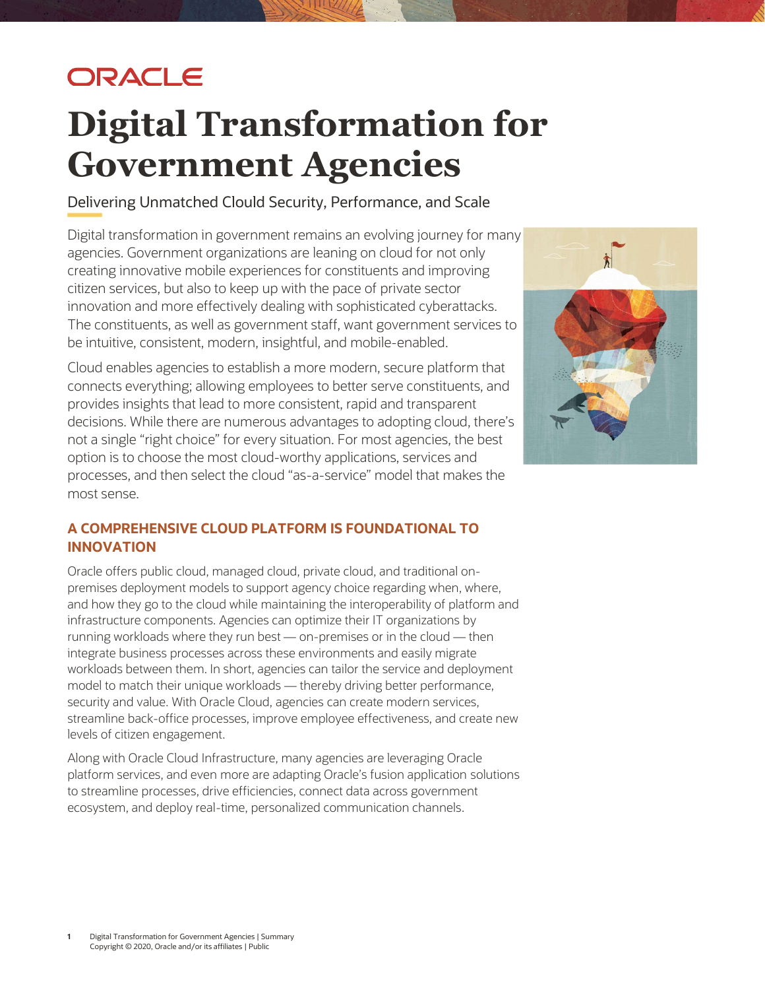## ORACLE

# Digital Transformation for Government Agencies

Delivering Unmatched Clould Security, Performance, and Scale

 Digital transformation in government remains an evolving journey for many agencies. Government organizations are leaning on cloud for not only creating innovative mobile experiences for constituents and improving citizen services, but also to keep up with the pace of private sector innovation and more effectively dealing with sophisticated cyberattacks. The constituents, as well as government staff, want government services to be intuitive, consistent, modern, insightful, and mobile-enabled.

 Cloud enables agencies to establish a more modern, secure platform that connects everything; allowing employees to better serve constituents, and provides insights that lead to more consistent, rapid and transparent decisions. While there are numerous advantages to adopting cloud, there's not a single "right choice" for every situation. For most agencies, the best option is to choose the most cloud-worthy applications, services and processes, and then select the cloud "as-a-service" model that makes the most sense.



### A COMPREHENSIVE CLOUD PLATFORM IS FOUNDATIONAL TO INNOVATION

 Oracle offers public cloud, managed cloud, private cloud, and traditional on- premises deployment models to support agency choice regarding when, where, and how they go to the cloud while maintaining the interoperability of platform and infrastructure components. Agencies can optimize their IT organizations by running workloads where they run best — on-premises or in the cloud — then integrate business processes across these environments and easily migrate workloads between them. In short, agencies can tailor the service and deployment model to match their unique workloads — thereby driving better performance, security and value. With Oracle Cloud, agencies can create modern services, streamline back-office processes, improve employee effectiveness, and create new levels of citizen engagement.

 Along with Oracle Cloud Infrastructure, many agencies are leveraging Oracle platform services, and even more are adapting Oracle's fusion application solutions to streamline processes, drive efficiencies, connect data across government ecosystem, and deploy real-time, personalized communication channels.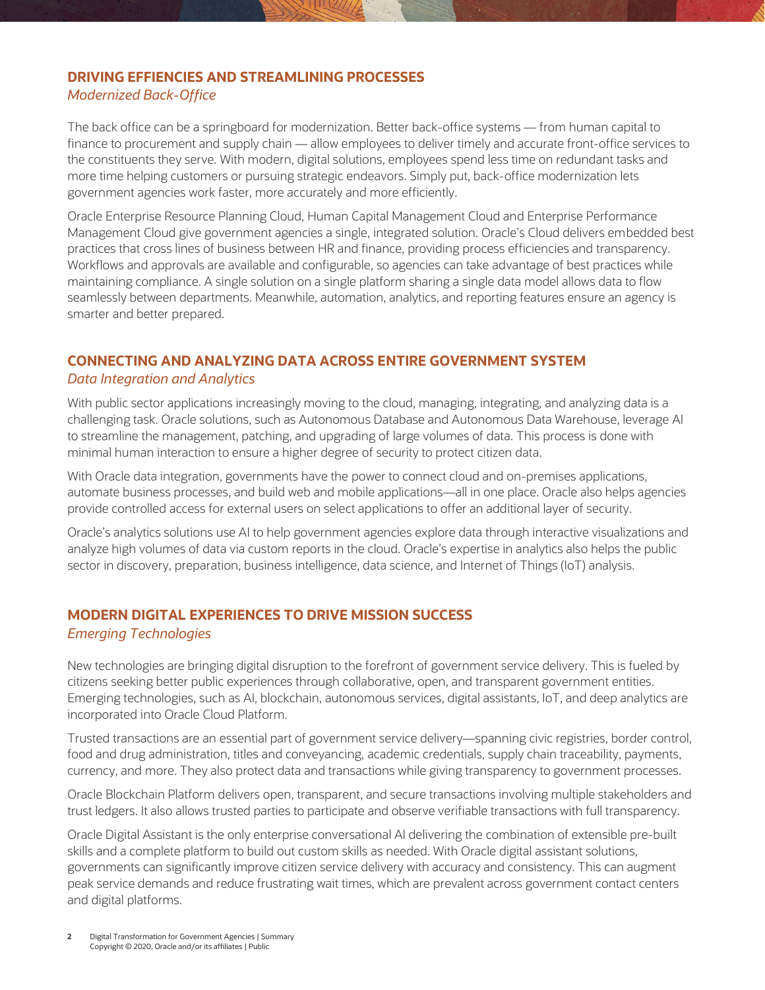#### DRIVING EFFIENCIES AND STREAMLINING PROCESSES Modernized Back-Office

 The back office can be a springboard for modernization. Better back-office systems — from human capital to finance to procurement and supply chain — allow employees to deliver timely and accurate front-office services to the constituents they serve. With modern, digital solutions, employees spend less time on redundant tasks and more time helping customers or pursuing strategic endeavors. Simply put, back-office modernization lets government agencies work faster, more accurately and more efficiently.

 Oracle Enterprise Resource Planning Cloud, Human Capital Management Cloud and Enterprise Performance Management Cloud give government agencies a single, integrated solution. Oracle's Cloud delivers embedded best practices that cross lines of business between HR and finance, providing process efficiencies and transparency. Workflows and approvals are available and configurable, so agencies can take advantage of best practices while maintaining compliance. A single solution on a single platform sharing a single data model allows data to flow seamlessly between departments. Meanwhile, automation, analytics, and reporting features ensure an agency is smarter and better prepared.

## CONNECTING AND ANALYZING DATA ACROSS ENTIRE GOVERNMENT SYSTEM

#### Data Integration and Analytics

 With public sector applications increasingly moving to the cloud, managing, integrating, and analyzing data is a challenging task. Oracle solutions, such as Autonomous Database and Autonomous Data Warehouse, leverage AI to streamline the management, patching, and upgrading of large volumes of data. This process is done with minimal human interaction to ensure a higher degree of security to protect citizen data.

 With Oracle data integration, governments have the power to connect cloud and on-premises applications, automate business processes, and build web and mobile applications—all in one place. Oracle also helps agencies provide controlled access for external users on select applications to offer an additional layer of security.

 Oracle's analytics solutions use AI to help government agencies explore data through interactive visualizations and analyze high volumes of data via custom reports in the cloud. Oracle's expertise in analytics also helps the public sector in discovery, preparation, business intelligence, data science, and Internet of Things (IoT) analysis.

#### MODERN DIGITAL EXPERIENCES TO DRIVE MISSION SUCCESS Emerging Technologies

 New technologies are bringing digital disruption to the forefront of government service delivery. This is fueled by citizens seeking better public experiences through collaborative, open, and transparent government entities. Emerging technologies, such as AI, blockchain, autonomous services, digital assistants, IoT, and deep analytics are incorporated into Oracle Cloud Platform.

 Trusted transactions are an essential part of government service delivery—spanning civic registries, border control, food and drug administration, titles and conveyancing, academic credentials, supply chain traceability, payments, currency, and more. They also protect data and transactions while giving transparency to government processes.

 Oracle Blockchain Platform delivers open, transparent, and secure transactions involving multiple stakeholders and trust ledgers. It also allows trusted parties to participate and observe verifiable transactions with full transparency.

 Oracle Digital Assistant is the only enterprise conversational AI delivering the combination of extensible pre-built skills and a complete platform to build out custom skills as needed. With Oracle digital assistant solutions, governments can significantly improve citizen service delivery with accuracy and consistency. This can augment peak service demands and reduce frustrating wait times, which are prevalent across government contact centers and digital platforms.